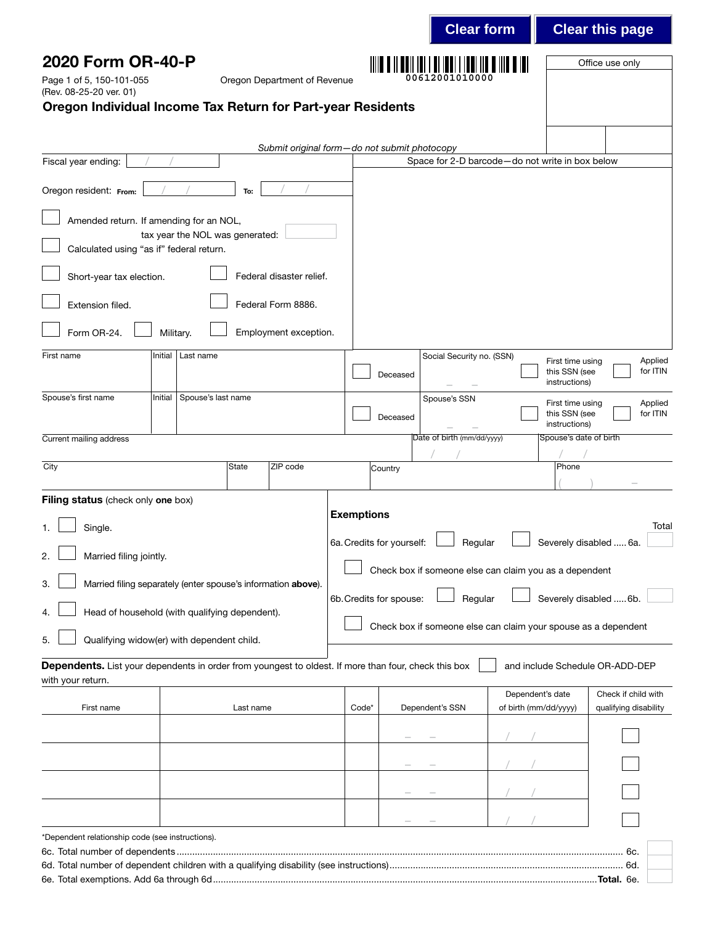|                                                                                                                           |                                 |           |                                              |                   |                                                                    |                         | <b>Clear form</b>                                              |                                           |                                | <b>Clear this page</b>                       |
|---------------------------------------------------------------------------------------------------------------------------|---------------------------------|-----------|----------------------------------------------|-------------------|--------------------------------------------------------------------|-------------------------|----------------------------------------------------------------|-------------------------------------------|--------------------------------|----------------------------------------------|
| 2020 Form OR-40-P                                                                                                         |                                 |           |                                              |                   |                                                                    |                         | <u>     W W    WWI   W    W   WWI    WWI   W W    W W  W</u>   |                                           |                                | Office use only                              |
| Page 1 of 5, 150-101-055<br>(Rev. 08-25-20 ver. 01)                                                                       |                                 |           | Oregon Department of Revenue                 |                   |                                                                    |                         | 00612001010000                                                 |                                           |                                |                                              |
| Oregon Individual Income Tax Return for Part-year Residents                                                               |                                 |           |                                              |                   |                                                                    |                         |                                                                |                                           |                                |                                              |
|                                                                                                                           |                                 |           |                                              |                   |                                                                    |                         |                                                                |                                           |                                |                                              |
| Fiscal year ending:                                                                                                       |                                 |           | Submit original form-do not submit photocopy |                   |                                                                    |                         | Space for 2-D barcode-do not write in box below                |                                           |                                |                                              |
| Oregon resident: From:                                                                                                    |                                 | To:       |                                              |                   |                                                                    |                         |                                                                |                                           |                                |                                              |
|                                                                                                                           |                                 |           |                                              |                   |                                                                    |                         |                                                                |                                           |                                |                                              |
| Amended return. If amending for an NOL,                                                                                   | tax year the NOL was generated: |           |                                              |                   |                                                                    |                         |                                                                |                                           |                                |                                              |
| Calculated using "as if" federal return.                                                                                  |                                 |           |                                              |                   |                                                                    |                         |                                                                |                                           |                                |                                              |
| Short-year tax election.                                                                                                  |                                 |           | Federal disaster relief.                     |                   |                                                                    |                         |                                                                |                                           |                                |                                              |
| Extension filed.                                                                                                          |                                 |           | Federal Form 8886.                           |                   |                                                                    |                         |                                                                |                                           |                                |                                              |
| Form OR-24.                                                                                                               | Military.                       |           | Employment exception.                        |                   |                                                                    |                         |                                                                |                                           |                                |                                              |
| First name                                                                                                                | Initial<br>Last name            |           |                                              |                   |                                                                    |                         | Social Security no. (SSN)                                      |                                           | First time using               | Applied                                      |
|                                                                                                                           |                                 |           |                                              |                   |                                                                    | Deceased                |                                                                |                                           | this SSN (see<br>instructions) | for ITIN                                     |
| Spouse's first name                                                                                                       | Spouse's last name<br>Initial   |           |                                              |                   |                                                                    |                         | Spouse's SSN                                                   |                                           | First time using               | Applied<br>for ITIN                          |
|                                                                                                                           |                                 |           |                                              |                   |                                                                    | Deceased                |                                                                |                                           | this SSN (see<br>instructions) |                                              |
| Current mailing address                                                                                                   |                                 |           |                                              |                   |                                                                    |                         | Date of birth (mm/dd/yyyy)                                     |                                           | Spouse's date of birth         |                                              |
| City                                                                                                                      |                                 | State     | ZIP code                                     |                   |                                                                    | Country                 |                                                                |                                           | Phone                          |                                              |
| Filing status (check only one box)                                                                                        |                                 |           |                                              |                   |                                                                    |                         |                                                                |                                           |                                |                                              |
| Single.                                                                                                                   |                                 |           |                                              | <b>Exemptions</b> |                                                                    |                         |                                                                |                                           |                                | Total                                        |
| Married filing jointly.<br>2.                                                                                             |                                 |           |                                              |                   | 6a. Credits for yourself: $\Box$ Regular<br>Severely disabled  6a. |                         |                                                                |                                           |                                |                                              |
| Married filing separately (enter spouse's information above).<br>3.                                                       |                                 |           |                                              |                   |                                                                    |                         | Check box if someone else can claim you as a dependent         |                                           |                                |                                              |
|                                                                                                                           |                                 |           |                                              |                   |                                                                    | 6b. Credits for spouse: | Regular                                                        |                                           |                                | Severely disabled  6b.                       |
| Head of household (with qualifying dependent).<br>4.                                                                      |                                 |           |                                              |                   |                                                                    |                         | Check box if someone else can claim your spouse as a dependent |                                           |                                |                                              |
| Qualifying widow(er) with dependent child.<br>5.                                                                          |                                 |           |                                              |                   |                                                                    |                         |                                                                |                                           |                                |                                              |
| Dependents. List your dependents in order from youngest to oldest. If more than four, check this box<br>with your return. |                                 |           |                                              |                   |                                                                    |                         |                                                                |                                           |                                | and include Schedule OR-ADD-DEP              |
| First name                                                                                                                |                                 | Last name |                                              |                   | Code*                                                              |                         | Dependent's SSN                                                | Dependent's date<br>of birth (mm/dd/yyyy) |                                | Check if child with<br>qualifying disability |
|                                                                                                                           |                                 |           |                                              |                   |                                                                    |                         |                                                                |                                           |                                |                                              |
|                                                                                                                           |                                 |           |                                              |                   |                                                                    |                         |                                                                |                                           |                                |                                              |
|                                                                                                                           |                                 |           |                                              |                   |                                                                    |                         |                                                                |                                           |                                |                                              |
|                                                                                                                           |                                 |           |                                              |                   |                                                                    |                         |                                                                |                                           |                                |                                              |
|                                                                                                                           |                                 |           |                                              |                   |                                                                    |                         |                                                                |                                           |                                |                                              |
| *Dependent relationship code (see instructions).                                                                          |                                 |           |                                              |                   |                                                                    |                         |                                                                |                                           |                                |                                              |
|                                                                                                                           |                                 |           |                                              |                   |                                                                    |                         |                                                                |                                           |                                |                                              |
|                                                                                                                           |                                 |           |                                              |                   |                                                                    |                         |                                                                |                                           |                                |                                              |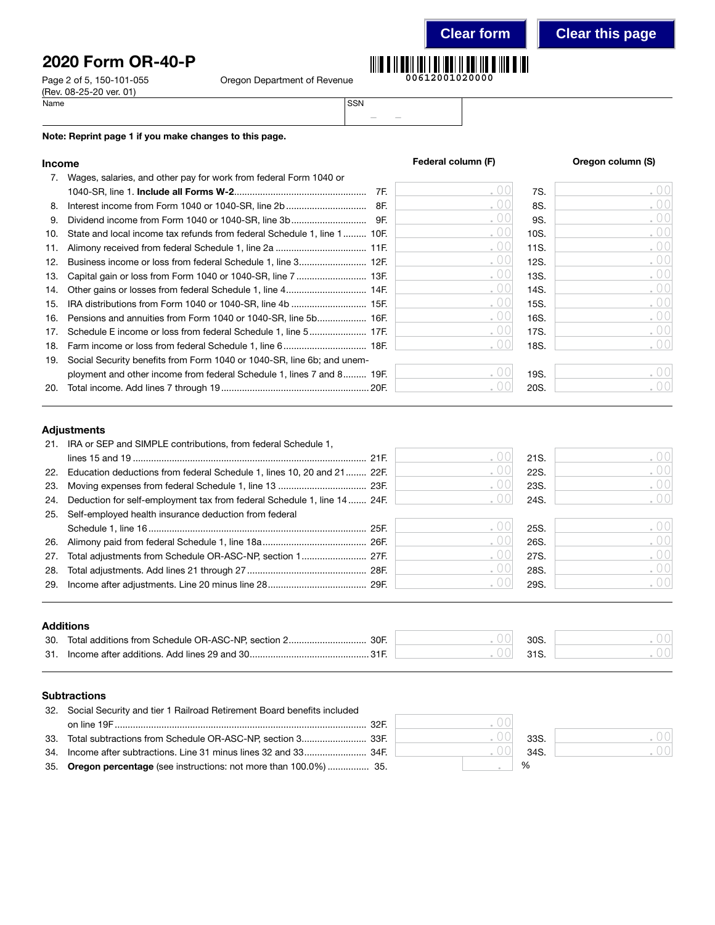## 2020 Form OR-40-P

Page 2 of 5, 150-101-055 O (Rev. 08-25-20 ver. 01)<br>Name Name SSN

|  |  | regon Department of Revenue |
|--|--|-----------------------------|
|--|--|-----------------------------|



– –

### Note: Reprint page 1 if you make changes to this page.

## Income **Income Income Federal column (F) Come** *S* **Oregon column (S)**

| 7.  | Wages, salaries, and other pay for work from federal Form 1040 or       |     |      |      |      |
|-----|-------------------------------------------------------------------------|-----|------|------|------|
|     |                                                                         | 7F. | .00  | 7S.  | .001 |
| 8.  |                                                                         | 8F. | .00  | 8S.  | .00  |
| 9.  |                                                                         |     | .00  | 9S.  | .00  |
| 10. | State and local income tax refunds from federal Schedule 1, line 1 10F. |     | .00  | 10S. | .00  |
| 11. |                                                                         |     | .00  | 11S. | .00  |
| 12. |                                                                         |     | .00  | 12S. | .00  |
| 13. |                                                                         |     | .00  | 13S. | .00  |
| 14. |                                                                         |     | .00  | 14S. | .00  |
| 15. |                                                                         |     | .00  | 15S. | .00  |
| 16. | Pensions and annuities from Form 1040 or 1040-SR, line 5b 16F.          |     | .00  | 16S. | .00  |
| 17. |                                                                         |     | .00  | 17S. | .00  |
| 18. |                                                                         |     | . 00 | 18S. | .001 |
| 19. | Social Security benefits from Form 1040 or 1040-SR, line 6b; and unem-  |     |      |      |      |
|     | ployment and other income from federal Schedule 1, lines 7 and 8 19F.   |     |      | 19S. | .00  |
| 20. |                                                                         |     |      | 20S. | .00  |

### Adjustments

|     | 21. IRA or SEP and SIMPLE contributions, from federal Schedule 1,           |      |      |      |
|-----|-----------------------------------------------------------------------------|------|------|------|
|     |                                                                             |      | 21S. | .00  |
|     | 22. Education deductions from federal Schedule 1, lines 10, 20 and 21 22F.  |      | 22S. | .00  |
|     | 23. Moving expenses from federal Schedule 1, line 13  23F.                  | . UU | 23S. | .00  |
|     | 24. Deduction for self-employment tax from federal Schedule 1, line 14 24F. |      | 24S. | .001 |
| 25. | Self-employed health insurance deduction from federal                       |      |      |      |
|     |                                                                             |      | 25S. | . 00 |
|     |                                                                             | . 00 | 26S. | .00  |
| 27. | Total adjustments from Schedule OR-ASC-NP, section 1 27F.                   | . 00 | 27S. | .00  |
| 28. |                                                                             | . 00 | 28S. | .00  |
|     |                                                                             |      | 29S. | 00   |
|     |                                                                             |      |      |      |

### Additions

| 30. | Total additions from Schedule OR-ASC-NP, section 2<br>30F |  | 30 <sub>S</sub> |  |
|-----|-----------------------------------------------------------|--|-----------------|--|
| 31. | Income after additions. Add lines 29 and 30               |  |                 |  |

### **Subtractions**

| 32. Social Security and tier 1 Railroad Retirement Board benefits included |         |      |
|----------------------------------------------------------------------------|---------|------|
|                                                                            | ( ) ( ) |      |
|                                                                            | . 001   | 33S. |
|                                                                            | . 001   | 34S  |
| 35. Oregon percentage (see instructions: not more than 100.0%)  35.        |         | $\%$ |

| 33S. |  |
|------|--|
| 34S. |  |
| %    |  |

. 00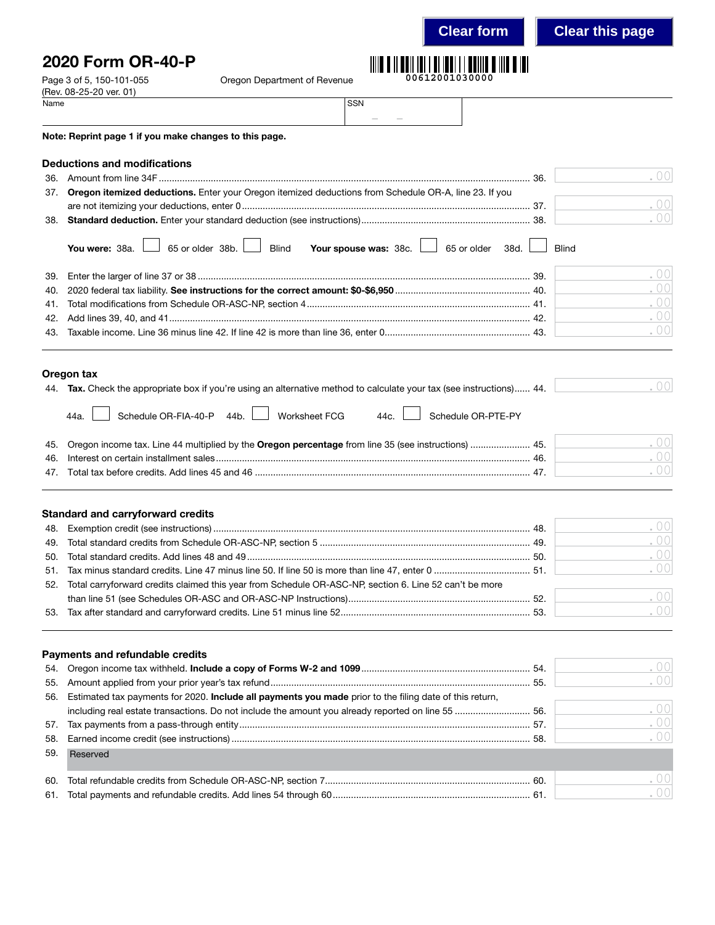**Clear form Clear this page**

## 2020 Form OR-40-P

Page 3 of 5, 150-101-055 Oregon Department of Revenue

– –

| (Rev. 08-25-20 ver. 01) |  |
|-------------------------|--|
| Name                    |  |

|                                 | Note: Reprint page 1 if you make changes to this page.                                                                                             |     |                          |
|---------------------------------|----------------------------------------------------------------------------------------------------------------------------------------------------|-----|--------------------------|
|                                 | <b>Deductions and modifications</b>                                                                                                                |     |                          |
| 36.                             |                                                                                                                                                    | 36. | . $00$                   |
| 37.                             | Oregon itemized deductions. Enter your Oregon itemized deductions from Schedule OR-A, line 23. If you                                              |     |                          |
|                                 |                                                                                                                                                    |     | .00                      |
|                                 |                                                                                                                                                    |     | .00                      |
|                                 | 65 or older $38b.$<br><b>Blind</b><br>Your spouse was: 38c. 56 or older 38d.<br>You were: 38a.                                                     |     | <b>Blind</b>             |
| 39.                             |                                                                                                                                                    |     | .00                      |
| 40.                             |                                                                                                                                                    |     | .00                      |
| 41.                             |                                                                                                                                                    |     | .00                      |
| 42.                             |                                                                                                                                                    |     | .00                      |
| 43.                             |                                                                                                                                                    |     | .00                      |
|                                 | Oregon tax<br>44. Tax. Check the appropriate box if you're using an alternative method to calculate your tax (see instructions) 44.                |     | .00                      |
|                                 | Schedule OR-PTE-PY<br>Schedule OR-FIA-40-P 44b.<br>Worksheet FCG<br>44c.<br>44a.                                                                   |     |                          |
| 45.                             | Oregon income tax. Line 44 multiplied by the Oregon percentage from line 35 (see instructions)  45.                                                |     | .00                      |
| 46.                             |                                                                                                                                                    |     | .00                      |
| 47.                             |                                                                                                                                                    |     | .00                      |
| 48.<br>49.<br>50.<br>51.<br>52. | <b>Standard and carryforward credits</b><br>Total carryforward credits claimed this year from Schedule OR-ASC-NP, section 6. Line 52 can't be more |     | .00<br>.00<br>.00<br>.00 |
|                                 |                                                                                                                                                    |     | .00                      |
| 53.                             |                                                                                                                                                    |     | .00                      |
|                                 | <b>Payments and refundable credits</b>                                                                                                             |     |                          |
| 54.                             |                                                                                                                                                    |     | .00                      |
| 55.                             |                                                                                                                                                    |     | .00                      |
| 56.                             | Estimated tax payments for 2020. Include all payments you made prior to the filing date of this return,                                            |     |                          |
|                                 | including real estate transactions. Do not include the amount you already reported on line 55  56.                                                 |     | .00                      |
| 57.                             |                                                                                                                                                    |     | .00                      |
| 58.                             |                                                                                                                                                    |     | .00                      |
| 59.                             | Reserved                                                                                                                                           |     |                          |
| 60.                             |                                                                                                                                                    |     | . 00                     |
| 61.                             |                                                                                                                                                    |     | 00                       |
|                                 |                                                                                                                                                    |     |                          |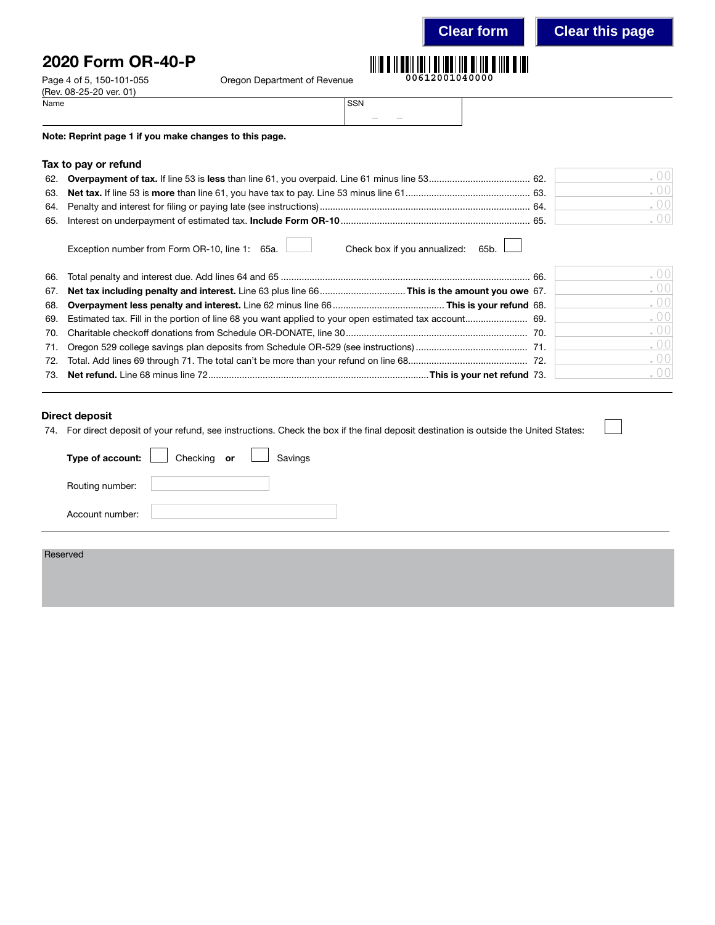2020 Form OR-40-P

Page 4 of 5, 150-101-055 Cregon Department of Revenue

| Name | <b>SSN</b> |                                                                                                |        |
|------|------------|------------------------------------------------------------------------------------------------|--------|
|      |            | $\frac{1}{2} \left( \frac{1}{2} \right) \left( \frac{1}{2} \right) \left( \frac{1}{2} \right)$ | $\sim$ |

Note: Reprint page 1 if you make changes to this page.

### Tax to pay or refund

(Rev. 08-25-20 ver. 01)

|  | 001   |
|--|-------|
|  | 001   |
|  | 001   |
|  | . 001 |

Exception number from Form OR-10, line 1: 65a. Check box if you annualized: 65b.

|  | .00    |
|--|--------|
|  | .00    |
|  | .00    |
|  | .00    |
|  | .00    |
|  | .00    |
|  | . $00$ |
|  | .00    |

### Direct deposit

74. For direct deposit of your refund, see instructions. Check the box if the final deposit destination is outside the United States:

|                 | Type of account: $\boxed{\phantom{a}}$ Checking or $\boxed{\phantom{a}}$<br>Savings |
|-----------------|-------------------------------------------------------------------------------------|
| Routing number: |                                                                                     |
| Account number: |                                                                                     |
| Reserved        |                                                                                     |